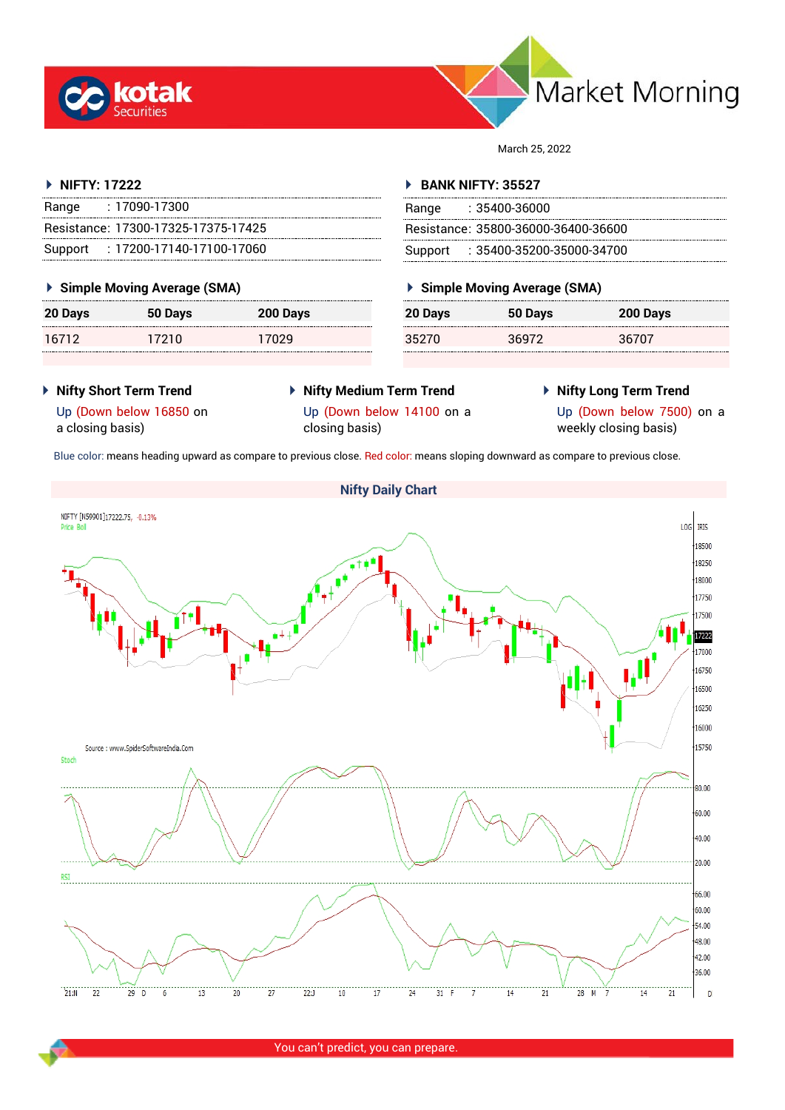





| <b>Nifty Short Term Trend</b> |
|-------------------------------|
| Up (Down below 16850 on       |

a closing basis)

NIFTY [N59901]17222.75, -0.13%

Price Boll

 **Nifty Medium Term Trend** Up (Down below 14100 on a closing basis)

**Nifty Daily Chart**

 **Nifty Long Term Trend** Up (Down below 7500) on a weekly closing basis)

LOG IRIS

18500

Blue color: means heading upward as compare to previous close. Red color: means sloping downward as compare to previous close.

| 20 Days | 50 Days | 200 Days |
|---------|---------|----------|
| 16712   | 17210   | 17029    |
|         |         |          |

Range : 17090-17300

Resistance: 17300-17325-17375-17425 Support : 17200-17140-17100-17060

**NIFTY: 17222**

| ▶ Simple Moving Average (SMA) |         |          |  |
|-------------------------------|---------|----------|--|
| <b>20 Days</b>                | 50 Days | 200 Days |  |
| 16712                         | 17210   | 17029    |  |

| $\sim$ 0.000 $\mu$ . 000 $\mu$ . 000 $\mu$ . 000 $\mu$ . 000 $\mu$ . 000 $\mu$ |         |          |
|--------------------------------------------------------------------------------|---------|----------|
| 20 Days                                                                        | 50 Days | 200 Days |
| 16712                                                                          | 17210   | 17029    |

# **BANK NIFTY: 35527**

| , DANNIN DI LIJJJZI |                                     |  |
|---------------------|-------------------------------------|--|
|                     | Range : 35400-36000                 |  |
|                     | Resistance: 35800-36000-36400-36600 |  |
|                     | Support: : 35400-35200-35000-34700  |  |

March 25, 2022

| Simple Moving Average (SMA) |         |          |
|-----------------------------|---------|----------|
| <b>20 Days</b>              | 50 Days | 200 Days |
| 35270                       | 36972   | 36707    |



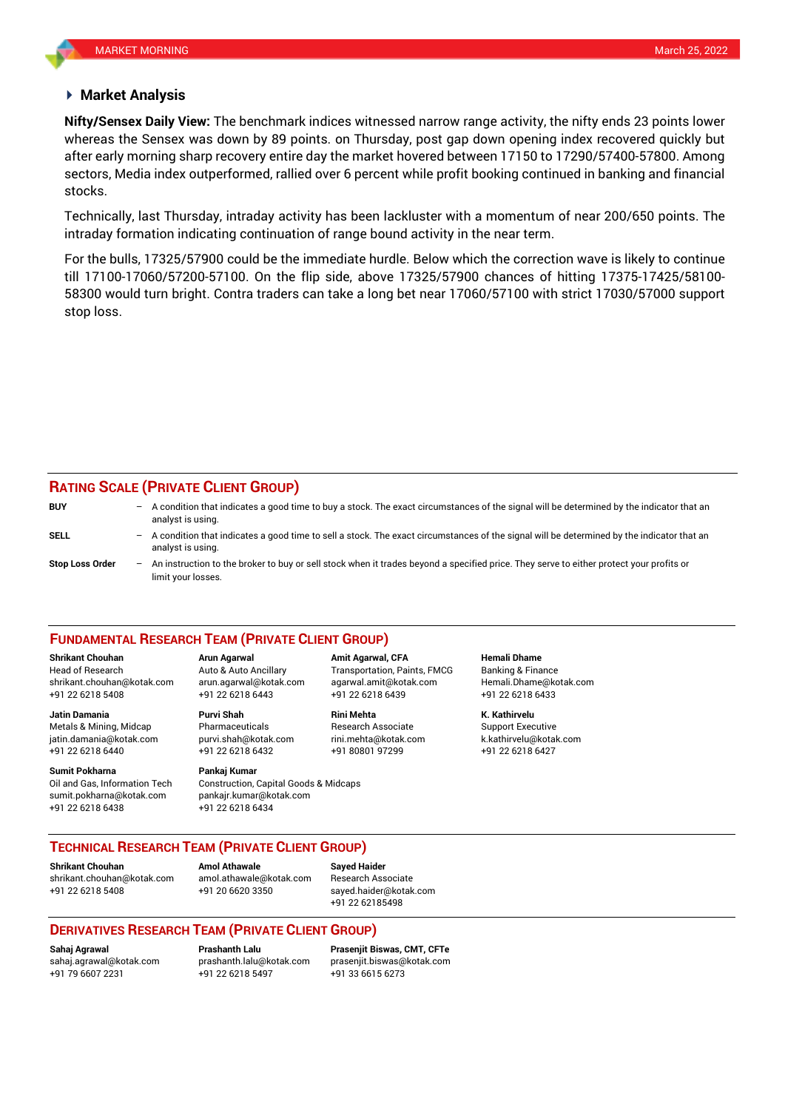### **Market Analysis**

whereas the Sensex was down by 89 points. on Thursday, post gap down opening index recovered quickly but **Nifty/Sensex Daily View:** The benchmark indices witnessed narrow range activity, the nifty ends 23 points lower after early morning sharp recovery entire day the market hovered between 17150 to 17290/57400-57800. Among sectors, Media index outperformed, rallied over 6 percent while profit booking continued in banking and financial stocks.

Technically, last Thursday, intraday activity has been lackluster with a momentum of near 200/650 points. The intraday formation indicating continuation of range bound activity in the near term.

For the bulls, 17325/57900 could be the immediate hurdle. Below which the correction wave is likely to continue till 17100-17060/57200-57100. On the flip side, above 17325/57900 chances of hitting 17375-17425/58100- 58300 would turn bright. Contra traders can take a long bet near 17060/57100 with strict 17030/57000 support stop loss.

## **RATING SCALE (PRIVATE CLIENT GROUP)**

| <b>BUY</b>             |     | $-$ A condition that indicates a good time to buy a stock. The exact circumstances of the signal will be determined by the indicator that an<br>analyst is using. |
|------------------------|-----|-------------------------------------------------------------------------------------------------------------------------------------------------------------------|
| SELL                   |     | - A condition that indicates a good time to sell a stock. The exact circumstances of the signal will be determined by the indicator that an<br>analyst is using.  |
| <b>Stop Loss Order</b> | $-$ | An instruction to the broker to buy or sell stock when it trades beyond a specified price. They serve to either protect your profits or<br>limit your losses.     |

### **FUNDAMENTAL RESEARCH TEAM (PRIVATE CLIENT GROUP)**

Head of Research Auto & Auto Ancillary Transportation, Paints, FMCG Banking & Finance [shrikant.chouhan@kotak.com](mailto:shrikant.chouhan@kotak.com) arun.agarwal@kotak.com agarwal.amit@kotak.com Hemali.Dhame@kotak.com

**Jatin Damania Purvi Shah Rini Mehta K. Kathirvelu** Metals & Mining, Midcap Pharmaceuticals Research Associate Support Executive Research Associate jatin.damania@kotak.com [purvi.shah@kotak.com](mailto:purvi.shah@kotak.com) rini.mehta@kotak.com [k.kathirvelu@kotak.com](mailto:k.kathirvelu@kotak.com) +91 22 6218 6440 +91 22 6218 6432 +91 80801 97299 +91 22 6218 6427

**Sumit Pokharna** Pankaj Kumar Oil and Gas, Information Tech Construction, Capital Goods & Midcaps sumit.pokharna@kotak.com pankajr.kumar@kotak.com +91 22 6218 6438 +91 22 6218 6434

+91 22 6218 5408 +91 22 6218 6443 +91 22 6218 6439 +91 22 6218 6433

**Shrikant Chouhan Arun Agarwal Amit Agarwal, CFA Hemali Dhame**

### **TECHNICAL RESEARCH TEAM (PRIVATE CLIENT GROUP)**

**Shrikant Chouhan Amol Athawale Sayed Haider**

[shrikant.chouhan@kotak.com](mailto:shrikant.chouhan@kotak.com) [amol.athawale@kotak.com](mailto:amol.athawale@kotak.com) Research Associate +91 22 6218 5408 +91 20 6620 3350 [sayed.haider@kotak.com](mailto:sayed.haider@kotak.com)

+91 22 62185498

### **DERIVATIVES RESEARCH TEAM (PRIVATE CLIENT GROUP)**

+91 22 6218 5497 +91 33 6615 6273

**Sahaj Agrawal Prashanth Lalu Prasenjit Biswas, CMT, CFTe** [sahaj.agrawal@kotak.com](mailto:sahaj.agrawal@kotak.com) [prashanth.lalu@kotak.com](mailto:prashanth.lalu@kotak.com) [prasenjit.biswas@kotak.com](mailto:prasenjit.biswas@kotak.com)